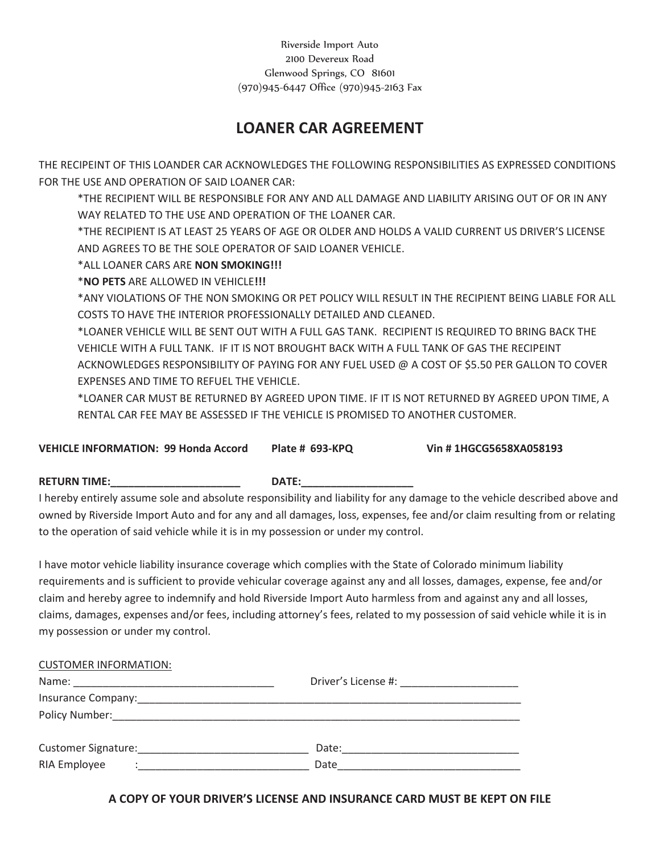Riverside Import Auto 2100 Devereux Road Glenwood Springs, CO 81601 (970)945-6447 Office (970)945-2163 Fax

## **LOANER CAR AGREEMENT**

THE RECIPEINT OF THIS LOANDER CAR ACKNOWLEDGES THE FOLLOWING RESPONSIBILITIES AS EXPRESSED CONDITIONS FOR THE USE AND OPERATION OF SAID LOANER CAR:

\*THE RECIPIENT WILL BE RESPONSIBLE FOR ANY AND ALL DAMAGE AND LIABILITY ARISING OUT OF OR IN ANY WAY RELATED TO THE USE AND OPERATION OF THE LOANER CAR.

\*THE RECIPIENT IS AT LEAST 25 YEARS OF AGE OR OLDER AND HOLDS A VALID CURRENT US DRIVER'S LICENSE AND AGREES TO BE THE SOLE OPERATOR OF SAID LOANER VEHICLE.

\*ALL LOANER CARS ARE **NON SMOKING!!!** 

\***NO PETS** ARE ALLOWED IN VEHICLE**!!!** 

\*ANY VIOLATIONS OF THE NON SMOKING OR PET POLICY WILL RESULT IN THE RECIPIENT BEING LIABLE FOR ALL COSTS TO HAVE THE INTERIOR PROFESSIONALLY DETAILED AND CLEANED.

\*LOANER VEHICLE WILL BE SENT OUT WITH A FULL GAS TANK. RECIPIENT IS REQUIRED TO BRING BACK THE VEHICLE WITH A FULL TANK. IF IT IS NOT BROUGHT BACK WITH A FULL TANK OF GAS THE RECIPEINT ACKNOWLEDGES RESPONSIBILITY OF PAYING FOR ANY FUEL USED @ A COST OF \$5.50 PER GALLON TO COVER EXPENSES AND TIME TO REFUEL THE VEHICLE.

\*LOANER CAR MUST BE RETURNED BY AGREED UPON TIME. IF IT IS NOT RETURNED BY AGREED UPON TIME, A RENTAL CAR FEE MAY BE ASSESSED IF THE VEHICLE IS PROMISED TO ANOTHER CUSTOMER.

**VEHICLE INFORMATION: 99 Honda Accord Plate # 693-KPQ Vin # 1HGCG5658XA058193** 

## RETURN TIME: THE RETURN STATE:

I hereby entirely assume sole and absolute responsibility and liability for any damage to the vehicle described above and owned by Riverside Import Auto and for any and all damages, loss, expenses, fee and/or claim resulting from or relating to the operation of said vehicle while it is in my possession or under my control.

I have motor vehicle liability insurance coverage which complies with the State of Colorado minimum liability requirements and is sufficient to provide vehicular coverage against any and all losses, damages, expense, fee and/or claim and hereby agree to indemnify and hold Riverside Import Auto harmless from and against any and all losses, claims, damages, expenses and/or fees, including attorney's fees, related to my possession of said vehicle while it is in my possession or under my control.

| <b>CUSTOMER INFORMATION:</b>                                  |                                   |  |
|---------------------------------------------------------------|-----------------------------------|--|
|                                                               | Driver's License #: New York 2014 |  |
| Insurance Company: Management Company:                        |                                   |  |
|                                                               |                                   |  |
| Customer Signature: National Accounts and Customer Signature: | Date:                             |  |
| RIA Employee<br>$\cdot$                                       | Date                              |  |

**A COPY OF YOUR DRIVER'S LICENSE AND INSURANCE CARD MUST BE KEPT ON FILE**